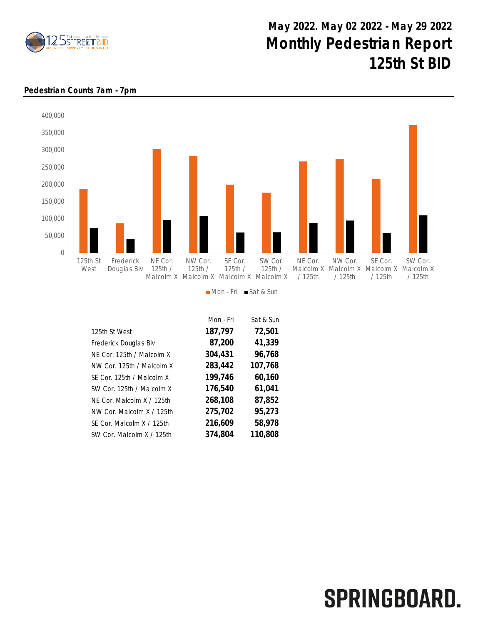

## May 2022. May 02 2022 - May 29 2022 Monthly Pedestrian Report 125th St BID



## Pedestrian Counts 7am - 7pm

| Mon - Fri | Sat & Sun |
|-----------|-----------|
| 187,797   | 72,501    |
| 87,200    | 41,339    |
| 304,431   | 96,768    |
| 283,442   | 107,768   |
| 199,746   | 60,160    |
| 176,540   | 61,041    |
| 268,108   | 87,852    |
| 275,702   | 95,273    |
| 216,609   | 58,978    |
| 374,804   | 110,808   |
|           |           |

## SPRINGBOARD.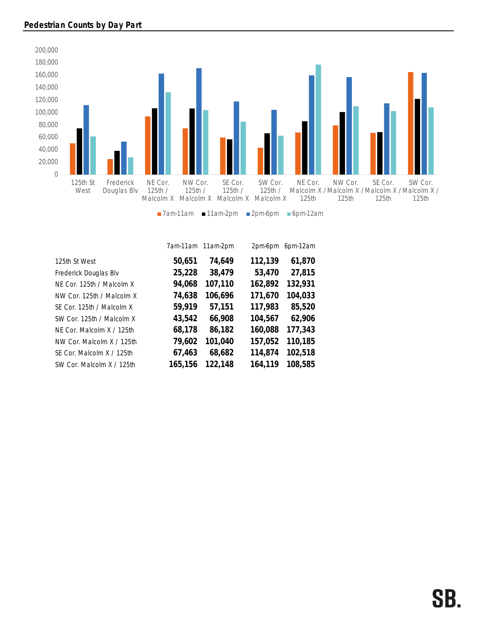

|                           |         | 7am-11am 11am-2pm | 2pm-6pm | 6pm-12am |
|---------------------------|---------|-------------------|---------|----------|
| 125th St West             | 50,651  | 74,649            | 112,139 | 61,870   |
| Frederick Douglas Blv     | 25,228  | 38,479            | 53,470  | 27,815   |
| NE Cor. 125th / Malcolm X | 94,068  | 107,110           | 162,892 | 132,931  |
| NW Cor. 125th / Malcolm X | 74,638  | 106,696           | 171,670 | 104,033  |
| SE Cor. 125th / Malcolm X | 59,919  | 57,151            | 117,983 | 85,520   |
| SW Cor. 125th / Malcolm X | 43,542  | 66,908            | 104,567 | 62,906   |
| NE Cor. Malcolm X / 125th | 68,178  | 86,182            | 160,088 | 177,343  |
| NW Cor. Malcolm X / 125th | 79,602  | 101,040           | 157,052 | 110,185  |
| SE Cor. Malcolm X / 125th | 67,463  | 68,682            | 114,874 | 102,518  |
| SW Cor. Malcolm X / 125th | 165,156 | 122.148           | 164.119 | 108,585  |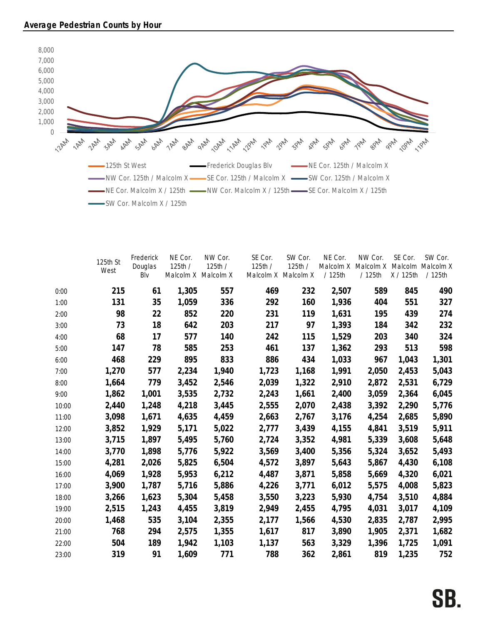

|       | 125th St<br>West | Frederick<br>Douglas<br>Blv | NE Cor.<br>125th/ | NW Cor.<br>125th /<br>Malcolm X Malcolm X | SE Cor.<br>125th / | SW Cor.<br>125th /<br>Malcolm X Malcolm X | NE Cor.<br>Malcolm X<br>/125th | NW Cor.<br>Malcolm X<br>/125th | SE Cor.<br>X / 125th | SW Cor.<br>Malcolm Malcolm X<br>/125th |
|-------|------------------|-----------------------------|-------------------|-------------------------------------------|--------------------|-------------------------------------------|--------------------------------|--------------------------------|----------------------|----------------------------------------|
| 0:00  | 215              | 61                          | 1,305             | 557                                       | 469                | 232                                       | 2,507                          | 589                            | 845                  | 490                                    |
| 1:00  | 131              | 35                          | 1,059             | 336                                       | 292                | 160                                       | 1,936                          | 404                            | 551                  | 327                                    |
| 2:00  | 98               | 22                          | 852               | 220                                       | 231                | 119                                       | 1,631                          | 195                            | 439                  | 274                                    |
| 3:00  | 73               | 18                          | 642               | 203                                       | 217                | 97                                        | 1,393                          | 184                            | 342                  | 232                                    |
| 4:00  | 68               | 17                          | 577               | 140                                       | 242                | 115                                       | 1,529                          | 203                            | 340                  | 324                                    |
| 5:00  | 147              | 78                          | 585               | 253                                       | 461                | 137                                       | 1,362                          | 293                            | 513                  | 598                                    |
| 6:00  | 468              | 229                         | 895               | 833                                       | 886                | 434                                       | 1,033                          | 967                            | 1,043                | 1,301                                  |
| 7:00  | 1,270            | 577                         | 2,234             | 1,940                                     | 1,723              | 1,168                                     | 1,991                          | 2,050                          | 2,453                | 5,043                                  |
| 8:00  | 1,664            | 779                         | 3,452             | 2,546                                     | 2,039              | 1,322                                     | 2,910                          | 2,872                          | 2,531                | 6,729                                  |
| 9:00  | 1,862            | 1,001                       | 3,535             | 2,732                                     | 2,243              | 1,661                                     | 2,400                          | 3,059                          | 2,364                | 6,045                                  |
| 10:00 | 2,440            | 1,248                       | 4,218             | 3,445                                     | 2,555              | 2,070                                     | 2,438                          | 3,392                          | 2,290                | 5,776                                  |
| 11:00 | 3,098            | 1,671                       | 4,635             | 4,459                                     | 2,663              | 2,767                                     | 3,176                          | 4,254                          | 2,685                | 5,890                                  |
| 12:00 | 3,852            | 1,929                       | 5,171             | 5,022                                     | 2,777              | 3,439                                     | 4,155                          | 4,841                          | 3,519                | 5,911                                  |
| 13:00 | 3,715            | 1,897                       | 5,495             | 5,760                                     | 2,724              | 3,352                                     | 4,981                          | 5,339                          | 3,608                | 5,648                                  |
| 14:00 | 3,770            | 1,898                       | 5,776             | 5,922                                     | 3,569              | 3,400                                     | 5,356                          | 5,324                          | 3,652                | 5,493                                  |
| 15:00 | 4,281            | 2,026                       | 5,825             | 6,504                                     | 4,572              | 3,897                                     | 5,643                          | 5,867                          | 4,430                | 6,108                                  |
| 16:00 | 4,069            | 1,928                       | 5,953             | 6,212                                     | 4,487              | 3,871                                     | 5,858                          | 5,669                          | 4,320                | 6,021                                  |
| 17:00 | 3,900            | 1,787                       | 5,716             | 5,886                                     | 4,226              | 3,771                                     | 6,012                          | 5,575                          | 4,008                | 5,823                                  |
| 18:00 | 3,266            | 1,623                       | 5,304             | 5,458                                     | 3,550              | 3,223                                     | 5,930                          | 4,754                          | 3,510                | 4,884                                  |
| 19:00 | 2,515            | 1,243                       | 4,455             | 3,819                                     | 2,949              | 2,455                                     | 4,795                          | 4,031                          | 3,017                | 4,109                                  |
| 20:00 | 1,468            | 535                         | 3,104             | 2,355                                     | 2,177              | 1,566                                     | 4,530                          | 2,835                          | 2,787                | 2,995                                  |
| 21:00 | 768              | 294                         | 2,575             | 1,355                                     | 1,617              | 817                                       | 3,890                          | 1,905                          | 2,371                | 1,682                                  |
| 22:00 | 504              | 189                         | 1,942             | 1,103                                     | 1,137              | 563                                       | 3,329                          | 1,396                          | 1,725                | 1,091                                  |
| 23:00 | 319              | 91                          | 1,609             | 771                                       | 788                | 362                                       | 2,861                          | 819                            | 1,235                | 752                                    |